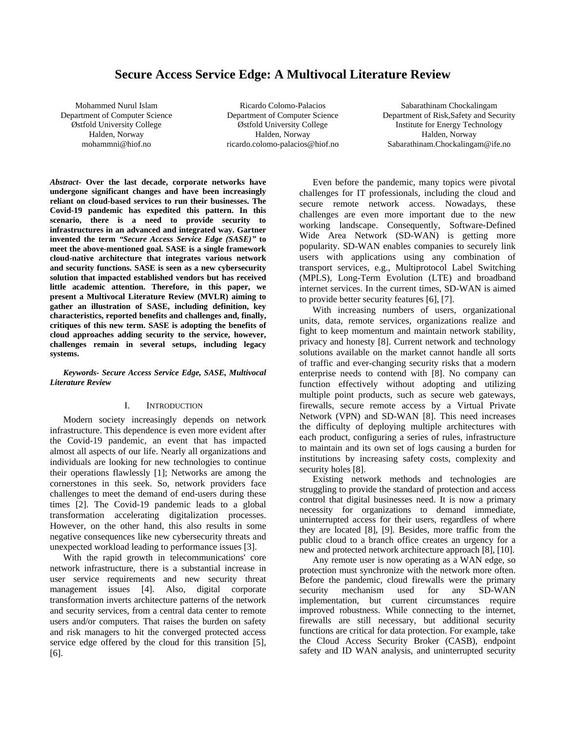# **Secure Access Service Edge: A Multivocal Literature Review**

Mohammed Nurul Islam Department of Computer Science Østfold University College Halden, Norway mohammni@hiof.no

Ricardo Colomo-Palacios Department of Computer Science Østfold University College Halden, Norway ricardo.colomo-palacios@hiof.no

Sabarathinam Chockalingam Department of Risk,Safety and Security Institute for Energy Technology Halden, Norway Sabarathinam.Chockalingam@ife.no

*Abstract-* **Over the last decade, corporate networks have undergone significant changes and have been increasingly reliant on cloud-based services to run their businesses. The Covid-19 pandemic has expedited this pattern. In this scenario, there is a need to provide security to infrastructures in an advanced and integrated way. Gartner invented the term** *"Secure Access Service Edge (SASE)"* **to meet the above-mentioned goal. SASE is a single framework cloud-native architecture that integrates various network and security functions. SASE is seen as a new cybersecurity solution that impacted established vendors but has received little academic attention. Therefore, in this paper, we present a Multivocal Literature Review (MVLR) aiming to gather an illustration of SASE, including definition, key characteristics, reported benefits and challenges and, finally, critiques of this new term. SASE is adopting the benefits of cloud approaches adding security to the service, however, challenges remain in several setups, including legacy systems.**

*Keywords- Secure Access Service Edge, SASE, Multivocal Literature Review*

## I. INTRODUCTION

Modern society increasingly depends on network infrastructure. This dependence is even more evident after the Covid-19 pandemic, an event that has impacted almost all aspects of our life. Nearly all organizations and individuals are looking for new technologies to continue their operations flawlessly [1]; Networks are among the cornerstones in this seek. So, network providers face challenges to meet the demand of end-users during these times [2]. The Covid-19 pandemic leads to a global transformation accelerating digitalization processes. However, on the other hand, this also results in some negative consequences like new cybersecurity threats and unexpected workload leading to performance issues [3].

With the rapid growth in telecommunications' core network infrastructure, there is a substantial increase in user service requirements and new security threat management issues [4]. Also, digital corporate transformation inverts architecture patterns of the network and security services, from a central data center to remote users and/or computers. That raises the burden on safety and risk managers to hit the converged protected access service edge offered by the cloud for this transition [5], [6].

Even before the pandemic, many topics were pivotal challenges for IT professionals, including the cloud and secure remote network access. Nowadays, these challenges are even more important due to the new working landscape. Consequently, Software-Defined Wide Area Network (SD-WAN) is getting more popularity. SD-WAN enables companies to securely link users with applications using any combination of transport services, e.g., Multiprotocol Label Switching (MPLS), Long-Term Evolution (LTE) and broadband internet services. In the current times, SD-WAN is aimed to provide better security features [6], [7].

With increasing numbers of users, organizational units, data, remote services, organizations realize and fight to keep momentum and maintain network stability, privacy and honesty [8]. Current network and technology solutions available on the market cannot handle all sorts of traffic and ever-changing security risks that a modern enterprise needs to contend with [8]. No company can function effectively without adopting and utilizing multiple point products, such as secure web gateways, firewalls, secure remote access by a Virtual Private Network (VPN) and SD-WAN [8]. This need increases the difficulty of deploying multiple architectures with each product, configuring a series of rules, infrastructure to maintain and its own set of logs causing a burden for institutions by increasing safety costs, complexity and security holes [8].

Existing network methods and technologies are struggling to provide the standard of protection and access control that digital businesses need. It is now a primary necessity for organizations to demand immediate, uninterrupted access for their users, regardless of where they are located [8], [9]. Besides, more traffic from the public cloud to a branch office creates an urgency for a new and protected network architecture approach [8], [10].

Any remote user is now operating as a WAN edge, so protection must synchronize with the network more often. Before the pandemic, cloud firewalls were the primary security mechanism used for any SD-WAN implementation, but current circumstances require improved robustness. While connecting to the internet, firewalls are still necessary, but additional security functions are critical for data protection. For example, take the Cloud Access Security Broker (CASB), endpoint safety and ID WAN analysis, and uninterrupted security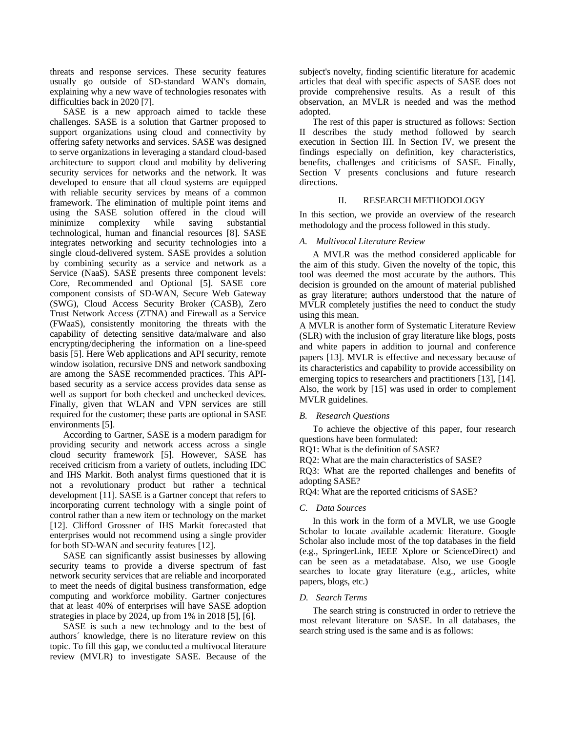threats and response services. These security features usually go outside of SD-standard WAN's domain, explaining why a new wave of technologies resonates with difficulties back in 2020 [7].

SASE is a new approach aimed to tackle these challenges. SASE is a solution that Gartner proposed to support organizations using cloud and connectivity by offering safety networks and services. SASE was designed to serve organizations in leveraging a standard cloud-based architecture to support cloud and mobility by delivering security services for networks and the network. It was developed to ensure that all cloud systems are equipped with reliable security services by means of a common framework. The elimination of multiple point items and using the SASE solution offered in the cloud will minimize complexity while saving substantial technological, human and financial resources [8]. SASE integrates networking and security technologies into a single cloud-delivered system. SASE provides a solution by combining security as a service and network as a Service (NaaS). SASE presents three component levels: Core, Recommended and Optional [5]. SASE core component consists of SD-WAN, Secure Web Gateway (SWG), Cloud Access Security Broker (CASB), Zero Trust Network Access (ZTNA) and Firewall as a Service (FWaaS), consistently monitoring the threats with the capability of detecting sensitive data/malware and also encrypting/deciphering the information on a line-speed basis [5]. Here Web applications and API security, remote window isolation, recursive DNS and network sandboxing are among the SASE recommended practices. This APIbased security as a service access provides data sense as well as support for both checked and unchecked devices. Finally, given that WLAN and VPN services are still required for the customer; these parts are optional in SASE environments [5].

According to Gartner, SASE is a modern paradigm for providing security and network access across a single cloud security framework [5]. However, SASE has received criticism from a variety of outlets, including IDC and IHS Markit. Both analyst firms questioned that it is not a revolutionary product but rather a technical development [11]. SASE is a Gartner concept that refers to incorporating current technology with a single point of control rather than a new item or technology on the market [12]. Clifford Grossner of IHS Markit forecasted that enterprises would not recommend using a single provider for both SD-WAN and security features [12].

SASE can significantly assist businesses by allowing security teams to provide a diverse spectrum of fast network security services that are reliable and incorporated to meet the needs of digital business transformation, edge computing and workforce mobility. Gartner conjectures that at least 40% of enterprises will have SASE adoption strategies in place by 2024, up from 1% in 2018 [5], [6].

SASE is such a new technology and to the best of authors´ knowledge, there is no literature review on this topic. To fill this gap, we conducted a multivocal literature review (MVLR) to investigate SASE. Because of the

subject's novelty, finding scientific literature for academic articles that deal with specific aspects of SASE does not provide comprehensive results. As a result of this observation, an MVLR is needed and was the method adopted.

The rest of this paper is structured as follows: Section II describes the study method followed by search execution in Section III. In Section IV, we present the findings especially on definition, key characteristics, benefits, challenges and criticisms of SASE. Finally, Section V presents conclusions and future research directions.

## II. RESEARCH METHODOLOGY

In this section, we provide an overview of the research methodology and the process followed in this study.

### *A. Multivocal Literature Review*

A MVLR was the method considered applicable for the aim of this study. Given the novelty of the topic, this tool was deemed the most accurate by the authors. This decision is grounded on the amount of material published as gray literature; authors understood that the nature of MVLR completely justifies the need to conduct the study using this mean.

A MVLR is another form of Systematic Literature Review (SLR) with the inclusion of gray literature like blogs, posts and white papers in addition to journal and conference papers [13]. MVLR is effective and necessary because of its characteristics and capability to provide accessibility on emerging topics to researchers and practitioners [13], [14]. Also, the work by [15] was used in order to complement MVLR guidelines.

## *B. Research Questions*

To achieve the objective of this paper, four research questions have been formulated:

RQ1: What is the definition of SASE?

RQ2: What are the main characteristics of SASE?

RQ3: What are the reported challenges and benefits of adopting SASE?

RQ4: What are the reported criticisms of SASE?

#### *C. Data Sources*

In this work in the form of a MVLR, we use Google Scholar to locate available academic literature. Google Scholar also include most of the top databases in the field (e.g., SpringerLink, IEEE Xplore or ScienceDirect) and can be seen as a metadatabase. Also, we use Google searches to locate gray literature (e.g., articles, white papers, blogs, etc.)

### *D. Search Terms*

The search string is constructed in order to retrieve the most relevant literature on SASE. In all databases, the search string used is the same and is as follows: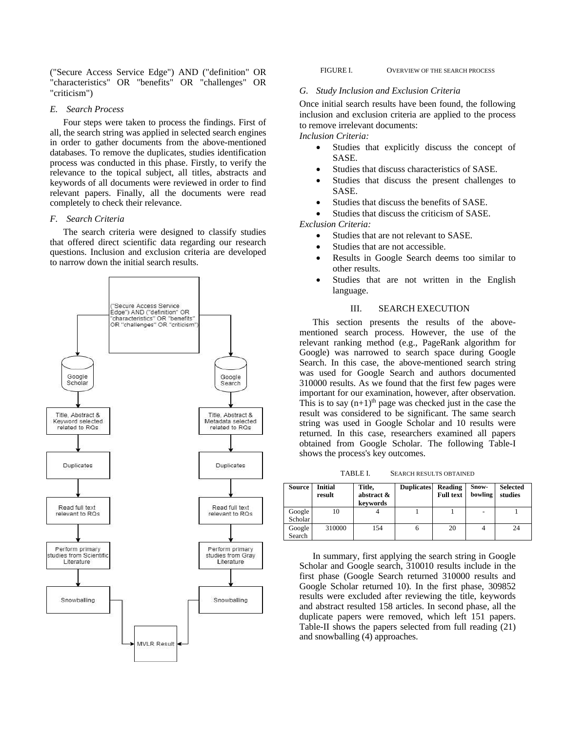("Secure Access Service Edge") AND ("definition" OR "characteristics" OR "benefits" OR "challenges" OR "criticism")

## *E. Search Process*

Four steps were taken to process the findings. First of all, the search string was applied in selected search engines in order to gather documents from the above-mentioned databases. To remove the duplicates, studies identification process was conducted in this phase. Firstly, to verify the relevance to the topical subject, all titles, abstracts and keywords of all documents were reviewed in order to find relevant papers. Finally, all the documents were read completely to check their relevance.

## *F. Search Criteria*

The search criteria were designed to classify studies that offered direct scientific data regarding our research questions. Inclusion and exclusion criteria are developed to narrow down the initial search results.



FIGURE I. OVERVIEW OF THE SEARCH PROCESS

## *G. Study Inclusion and Exclusion Criteria*

Once initial search results have been found, the following inclusion and exclusion criteria are applied to the process to remove irrelevant documents:

*Inclusion Criteria:*

- Studies that explicitly discuss the concept of SASE.
- Studies that discuss characteristics of SASE.
- Studies that discuss the present challenges to **SASE**
- Studies that discuss the benefits of SASE.

Studies that discuss the criticism of SASE.

*Exclusion Criteria:*

- Studies that are not relevant to SASE.
- Studies that are not accessible.
- Results in Google Search deems too similar to other results.
- Studies that are not written in the English language.

## III. SEARCH EXECUTION

This section presents the results of the abovementioned search process. However, the use of the relevant ranking method (e.g., PageRank algorithm for Google) was narrowed to search space during Google Search. In this case, the above-mentioned search string was used for Google Search and authors documented 310000 results. As we found that the first few pages were important for our examination, however, after observation. This is to say  $(n+1)$ <sup>th</sup> page was checked just in the case the result was considered to be significant. The same search string was used in Google Scholar and 10 results were returned. In this case, researchers examined all papers obtained from Google Scholar. The following Table-I shows the process's key outcomes.

TABLE I. SEARCH RESULTS OBTAINED

| Source  | <b>Initial</b><br>result | Title,<br>abstract &<br>keywords | <b>Duplicates</b> | Reading<br><b>Full text</b> | Snow-<br>bowling | <b>Selected</b><br>studies |
|---------|--------------------------|----------------------------------|-------------------|-----------------------------|------------------|----------------------------|
| Google  | 10                       |                                  |                   |                             | -                |                            |
| Scholar |                          |                                  |                   |                             |                  |                            |
| Google  | 310000                   | 154                              | o                 | 20                          |                  | 24                         |
| Search  |                          |                                  |                   |                             |                  |                            |

In summary, first applying the search string in Google Scholar and Google search, 310010 results include in the first phase (Google Search returned 310000 results and Google Scholar returned 10). In the first phase, 309852 results were excluded after reviewing the title, keywords and abstract resulted 158 articles. In second phase, all the duplicate papers were removed, which left 151 papers. Table-II shows the papers selected from full reading (21) and snowballing (4) approaches.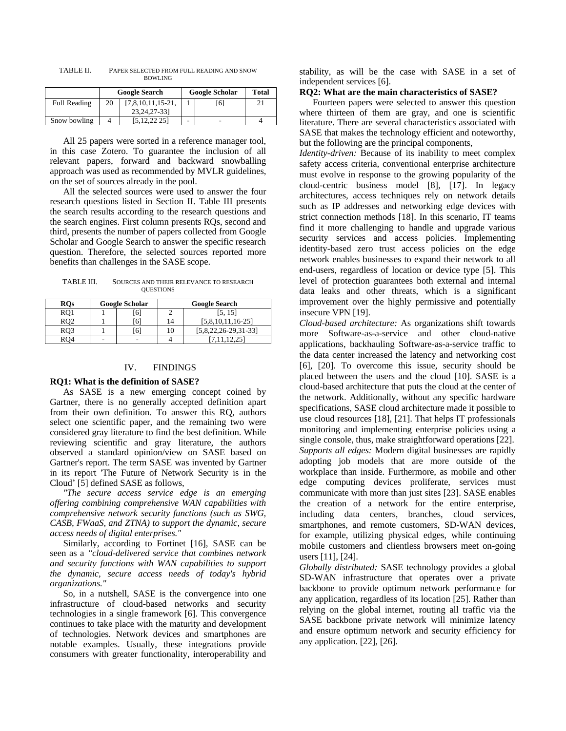|              | <b>Google Search</b> |                     |   | <b>Google Scholar</b> | <b>Total</b> |
|--------------|----------------------|---------------------|---|-----------------------|--------------|
| Full Reading | 20                   | $[7,8,10,11,15-21,$ |   | [6]                   |              |
|              |                      | 23, 24, 27-33]      |   |                       |              |
| Snow bowling |                      | 5.12.22 251         | - | -                     |              |

TABLE II. PAPER SELECTED FROM FULL READING AND SNOW BOWLING

All 25 papers were sorted in a reference manager tool, in this case Zotero. To guarantee the inclusion of all relevant papers, forward and backward snowballing approach was used as recommended by MVLR guidelines, on the set of sources already in the pool.

All the selected sources were used to answer the four research questions listed in Section II. Table III presents the search results according to the research questions and the search engines. First column presents RQs, second and third, presents the number of papers collected from Google Scholar and Google Search to answer the specific research question. Therefore, the selected sources reported more benefits than challenges in the SASE scope.

TABLE III. SOURCES AND THEIR RELEVANCE TO RESEARCH **QUESTIONS** 

| <b>ROs</b> | <b>Google Scholar</b> |   | <b>Google Search</b> |                      |  |
|------------|-----------------------|---|----------------------|----------------------|--|
|            |                       | 6 |                      | [5, 15]              |  |
|            |                       | 6 |                      | $[5,8,10,11,16-25]$  |  |
| RO3        |                       | 6 |                      | [5,8,22,26-29,31-33] |  |
|            | -                     | - |                      |                      |  |

### IV. FINDINGS

### **RQ1: What is the definition of SASE?**

As SASE is a new emerging concept coined by Gartner, there is no generally accepted definition apart from their own definition. To answer this RQ, authors select one scientific paper, and the remaining two were considered gray literature to find the best definition. While reviewing scientific and gray literature, the authors observed a standard opinion/view on SASE based on Gartner's report. The term SASE was invented by Gartner in its report 'The Future of Network Security is in the Cloud' [5] defined SASE as follows,

*"The secure access service edge is an emerging offering combining comprehensive WAN capabilities with comprehensive network security functions (such as SWG, CASB, FWaaS, and ZTNA) to support the dynamic, secure access needs of digital enterprises."*

Similarly, according to Fortinet [16], SASE can be seen as a *"cloud-delivered service that combines network and security functions with WAN capabilities to support the dynamic, secure access needs of today's hybrid organizations."*

So, in a nutshell, SASE is the convergence into one infrastructure of cloud-based networks and security technologies in a single framework [6]. This convergence continues to take place with the maturity and development of technologies. Network devices and smartphones are notable examples. Usually, these integrations provide consumers with greater functionality, interoperability and stability, as will be the case with SASE in a set of independent services [6].

#### **RQ2: What are the main characteristics of SASE?**

Fourteen papers were selected to answer this question where thirteen of them are gray, and one is scientific literature. There are several characteristics associated with SASE that makes the technology efficient and noteworthy, but the following are the principal components,

*Identity-driven:* Because of its inability to meet complex safety access criteria, conventional enterprise architecture must evolve in response to the growing popularity of the cloud-centric business model [8], [17]. In legacy architectures, access techniques rely on network details such as IP addresses and networking edge devices with strict connection methods [18]. In this scenario, IT teams find it more challenging to handle and upgrade various security services and access policies. Implementing identity-based zero trust access policies on the edge network enables businesses to expand their network to all end-users, regardless of location or device type [5]. This level of protection guarantees both external and internal data leaks and other threats, which is a significant improvement over the highly permissive and potentially insecure VPN [19].

*Cloud-based architecture:* As organizations shift towards more Software-as-a-service and other cloud-native applications, backhauling Software-as-a-service traffic to the data center increased the latency and networking cost [6], [20]. To overcome this issue, security should be placed between the users and the cloud [10]. SASE is a cloud-based architecture that puts the cloud at the center of the network. Additionally, without any specific hardware specifications, SASE cloud architecture made it possible to use cloud resources [18], [21]. That helps IT professionals monitoring and implementing enterprise policies using a single console, thus, make straightforward operations [22]. *Supports all edges:* Modern digital businesses are rapidly adopting job models that are more outside of the workplace than inside. Furthermore, as mobile and other edge computing devices proliferate, services must communicate with more than just sites [23]. SASE enables the creation of a network for the entire enterprise, including data centers, branches, cloud services, smartphones, and remote customers, SD-WAN devices, for example, utilizing physical edges, while continuing mobile customers and clientless browsers meet on-going users [11], [24].

*Globally distributed:* SASE technology provides a global SD-WAN infrastructure that operates over a private backbone to provide optimum network performance for any application, regardless of its location [25]. Rather than relying on the global internet, routing all traffic via the SASE backbone private network will minimize latency and ensure optimum network and security efficiency for any application. [22], [26].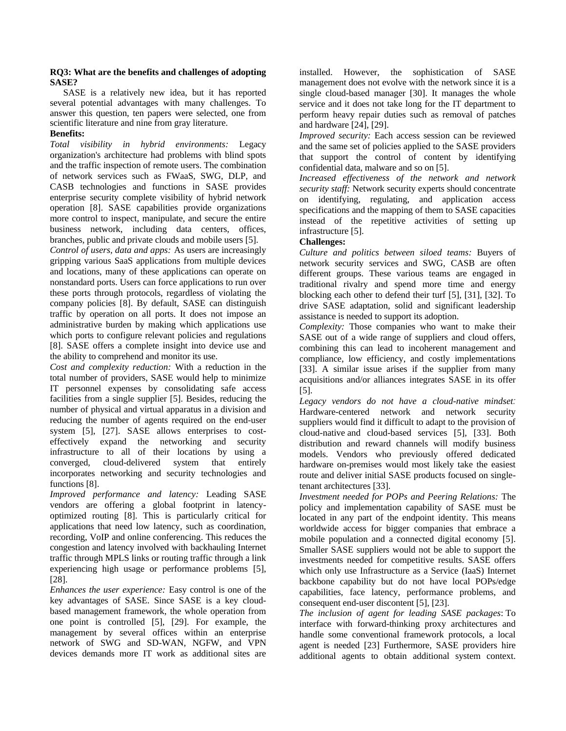## **RQ3: What are the benefits and challenges of adopting SASE?**

SASE is a relatively new idea, but it has reported several potential advantages with many challenges. To answer this question, ten papers were selected, one from scientific literature and nine from gray literature.

## **Benefits:**

*Total visibility in hybrid environments:* Legacy organization's architecture had problems with blind spots and the traffic inspection of remote users. The combination of network services such as FWaaS, SWG, DLP, and CASB technologies and functions in SASE provides enterprise security complete visibility of hybrid network operation [8]. SASE capabilities provide organizations more control to inspect, manipulate, and secure the entire business network, including data centers, offices, branches, public and private clouds and mobile users [5].

*Control of users, data and apps:* As users are increasingly gripping various SaaS applications from multiple devices and locations, many of these applications can operate on nonstandard ports. Users can force applications to run over these ports through protocols, regardless of violating the company policies [8]. By default, SASE can distinguish traffic by operation on all ports. It does not impose an administrative burden by making which applications use which ports to configure relevant policies and regulations [8]. SASE offers a complete insight into device use and the ability to comprehend and monitor its use.

*Cost and complexity reduction:* With a reduction in the total number of providers, SASE would help to minimize IT personnel expenses by consolidating safe access facilities from a single supplier [5]. Besides, reducing the number of physical and virtual apparatus in a division and reducing the number of agents required on the end-user system [5], [27]. SASE allows enterprises to costeffectively expand the networking and security infrastructure to all of their locations by using a converged, cloud-delivered system that entirely incorporates networking and security technologies and functions [8].

*Improved performance and latency:* Leading SASE vendors are offering a global footprint in latencyoptimized routing [8]. This is particularly critical for applications that need low latency, such as coordination, recording, VoIP and online conferencing. This reduces the congestion and latency involved with backhauling Internet traffic through MPLS links or routing traffic through a link experiencing high usage or performance problems [5], [28].

*Enhances the user experience:* Easy control is one of the key advantages of SASE. Since SASE is a key cloudbased management framework, the whole operation from one point is controlled [5], [29]. For example, the management by several offices within an enterprise network of SWG and SD-WAN, NGFW, and VPN devices demands more IT work as additional sites are

installed. However, the sophistication of SASE management does not evolve with the network since it is a single cloud-based manager [30]. It manages the whole service and it does not take long for the IT department to perform heavy repair duties such as removal of patches and hardware [24], [29].

*Improved security:* Each access session can be reviewed and the same set of policies applied to the SASE providers that support the control of content by identifying confidential data, malware and so on [5].

*Increased effectiveness of the network and network security staff:* Network security experts should concentrate on identifying, regulating, and application access specifications and the mapping of them to SASE capacities instead of the repetitive activities of setting up infrastructure [5].

## **Challenges:**

*Culture and politics between siloed teams:* Buyers of network security services and SWG, CASB are often different groups. These various teams are engaged in traditional rivalry and spend more time and energy blocking each other to defend their turf [5], [31], [32]. To drive SASE adaptation, solid and significant leadership assistance is needed to support its adoption.

*Complexity:* Those companies who want to make their SASE out of a wide range of suppliers and cloud offers, combining this can lead to incoherent management and compliance, low efficiency, and costly implementations [33]. A similar issue arises if the supplier from many acquisitions and/or alliances integrates SASE in its offer [5].

*Legacy vendors do not have a cloud-native mindset:*  Hardware-centered network and network security suppliers would find it difficult to adapt to the provision of cloud-native and cloud-based services [5], [33]. Both distribution and reward channels will modify business models. Vendors who previously offered dedicated hardware on-premises would most likely take the easiest route and deliver initial SASE products focused on singletenant architectures [33].

*Investment needed for POPs and Peering Relations:* The policy and implementation capability of SASE must be located in any part of the endpoint identity. This means worldwide access for bigger companies that embrace a mobile population and a connected digital economy [5]. Smaller SASE suppliers would not be able to support the investments needed for competitive results. SASE offers which only use Infrastructure as a Service (IaaS) Internet backbone capability but do not have local POPs/edge capabilities, face latency, performance problems, and consequent end-user discontent [5], [23].

*The inclusion of agent for leading SASE packages*: To interface with forward-thinking proxy architectures and handle some conventional framework protocols, a local agent is needed [23] Furthermore, SASE providers hire additional agents to obtain additional system context.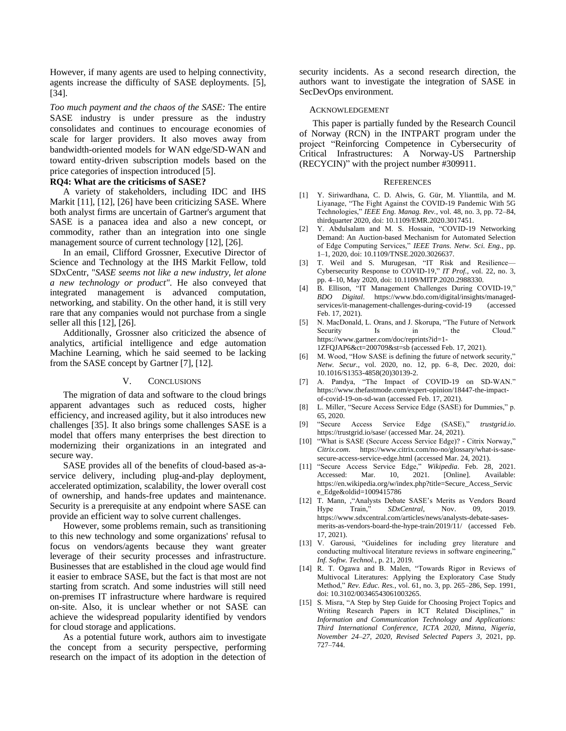However, if many agents are used to helping connectivity, agents increase the difficulty of SASE deployments. [5], [34].

*Too much payment and the chaos of the SASE:* The entire SASE industry is under pressure as the industry consolidates and continues to encourage economies of scale for larger providers. It also moves away from bandwidth-oriented models for WAN edge/SD-WAN and toward entity-driven subscription models based on the price categories of inspection introduced [5].

### **RQ4: What are the criticisms of SASE?**

A variety of stakeholders, including IDC and IHS Markit [11], [12], [26] have been criticizing SASE. Where both analyst firms are uncertain of Gartner's argument that SASE is a panacea idea and also a new concept, or commodity, rather than an integration into one single management source of current technology [12], [26].

In an email, Clifford Grossner, Executive Director of Science and Technology at the IHS Markit Fellow, told SDxCentr, "*SASE seems not like a new industry, let alone a new technology or product"*. He also conveyed that integrated management is advanced computation, networking, and stability. On the other hand, it is still very rare that any companies would not purchase from a single seller all this [12], [26].

Additionally, Grossner also criticized the absence of analytics, artificial intelligence and edge automation Machine Learning, which he said seemed to be lacking from the SASE concept by Gartner [7], [12].

### V. CONCLUSIONS

The migration of data and software to the cloud brings apparent advantages such as reduced costs, higher efficiency, and increased agility, but it also introduces new challenges [35]. It also brings some challenges SASE is a model that offers many enterprises the best direction to modernizing their organizations in an integrated and secure way.

SASE provides all of the benefits of cloud-based as-aservice delivery, including plug-and-play deployment, accelerated optimization, scalability, the lower overall cost of ownership, and hands-free updates and maintenance. Security is a prerequisite at any endpoint where SASE can provide an efficient way to solve current challenges.

However, some problems remain, such as transitioning to this new technology and some organizations' refusal to focus on vendors/agents because they want greater leverage of their security processes and infrastructure. Businesses that are established in the cloud age would find it easier to embrace SASE, but the fact is that most are not starting from scratch. And some industries will still need on-premises IT infrastructure where hardware is required on-site. Also, it is unclear whether or not SASE can achieve the widespread popularity identified by vendors for cloud storage and applications.

As a potential future work, authors aim to investigate the concept from a security perspective, performing research on the impact of its adoption in the detection of security incidents. As a second research direction, the authors want to investigate the integration of SASE in SecDevOps environment.

#### ACKNOWLEDGEMENT

This paper is partially funded by the Research Council of Norway (RCN) in the INTPART program under the project "Reinforcing Competence in Cybersecurity of Critical Infrastructures: A Norway-US Partnership (RECYCIN)" with the project number #309911.

#### **REFERENCES**

- [1] Y. Siriwardhana, C. D. Alwis, G. Gür, M. Ylianttila, and M. Liyanage, "The Fight Against the COVID-19 Pandemic With 5G Technologies," *IEEE Eng. Manag. Rev.*, vol. 48, no. 3, pp. 72–84, thirdquarter 2020, doi: 10.1109/EMR.2020.3017451.
- [2] Y. Abdulsalam and M. S. Hossain, "COVID-19 Networking Demand: An Auction-based Mechanism for Automated Selection of Edge Computing Services," *IEEE Trans. Netw. Sci. Eng.*, pp. 1–1, 2020, doi: 10.1109/TNSE.2020.3026637.
- [3] T. Weil and S. Murugesan, "IT Risk and Resilience— Cybersecurity Response to COVID-19," *IT Prof.*, vol. 22, no. 3, pp. 4–10, May 2020, doi: 10.1109/MITP.2020.2988330.
- [4] B. Ellison, "IT Management Challenges During COVID-19," *BDO Digital*. https://www.bdo.com/digital/insights/managedservices/it-management-challenges-during-covid-19 (accessed Feb. 17, 2021).
- [5] N. MacDonald, L. Orans, and J. Skorupa, "The Future of Network Security Is in the Cloud." https://www.gartner.com/doc/reprints?id=1- 1ZFQJAP6&ct=200709&st=sb (accessed Feb. 17, 2021).
- [6] M. Wood, "How SASE is defining the future of network security," *Netw. Secur.*, vol. 2020, no. 12, pp. 6–8, Dec. 2020, doi: 10.1016/S1353-4858(20)30139-2.
- [7] A. Pandya, "The Impact of COVID-19 on SD-WAN." https://www.thefastmode.com/expert-opinion/18447-the-impactof-covid-19-on-sd-wan (accessed Feb. 17, 2021).
- [8] L. Miller, "Secure Access Service Edge (SASE) for Dummies," p. 65, 2020.
- [9] "Secure Access Service Edge (SASE)," *trustgrid.io*. https://trustgrid.io/sase/ (accessed Mar. 24, 2021).
- [10] "What is SASE (Secure Access Service Edge)? Citrix Norway," *Citrix.com*. https://www.citrix.com/no-no/glossary/what-is-sasesecure-access-service-edge.html (accessed Mar. 24, 2021).
- [11] "Secure Access Service Edge," *Wikipedia*. Feb. 28, 2021. Accessed: Mar. 10, 2021. [Online]. Available: https://en.wikipedia.org/w/index.php?title=Secure\_Access\_Servic e\_Edge&oldid=1009415786
- [12] T. Mann, ,"Analysts Debate SASE's Merits as Vendors Board Hype Train," *SDxCentral*, Nov. 09, 2019. https://www.sdxcentral.com/articles/news/analysts-debate-sasesmerits-as-vendors-board-the-hype-train/2019/11/ (accessed Feb. 17, 2021).
- [13] V. Garousi, "Guidelines for including grey literature and conducting multivocal literature reviews in software engineering," *Inf. Softw. Technol.*, p. 21, 2019.
- [14] R. T. Ogawa and B. Malen, "Towards Rigor in Reviews of Multivocal Literatures: Applying the Exploratory Case Study Method," *Rev. Educ. Res.*, vol. 61, no. 3, pp. 265–286, Sep. 1991, doi: 10.3102/00346543061003265.
- [15] S. Misra, "A Step by Step Guide for Choosing Project Topics and Writing Research Papers in ICT Related Disciplines," in *Information and Communication Technology and Applications: Third International Conference, ICTA 2020, Minna, Nigeria, November 24–27, 2020, Revised Selected Papers 3*, 2021, pp. 727–744.